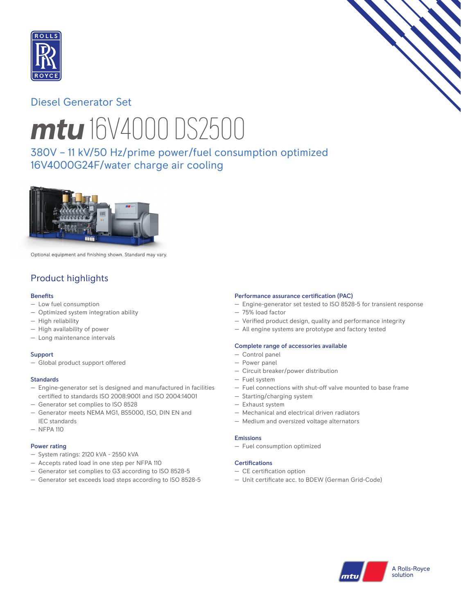

# Diesel Generator Set



# *mtu* 16V4000 DS2500

380V - 11 kV/50 Hz/prime power/fuel consumption optimized 16V4000G24F/water charge air cooling



Optional equipment and finishing shown. Standard may vary.

# Product highlights

## **Benefits**

- Low fuel consumption
- Optimized system integration ability
- High reliability
- $-$  High availability of power
- Long maintenance intervals

## Support

 $-$  Global product support offered

## Standards

- Engine-generator set is designed and manufactured in facilities certified to standards ISO 2008:9001 and ISO 2004:14001
- Generator set complies to ISO 8528
- Generator meets NEMA MG1, BS5000, ISO, DIN EN and IEC standards
- $-$  NFPA 110

## Power rating

- System ratings: 2120 kVA 2550 kVA
- Accepts rated load in one step per NFPA 110
- Generator set complies to G3 according to ISO 8528-5
- Generator set exceeds load steps according to ISO 8528-5

#### Performance assurance certification (PAC)

- Engine-generator set tested to ISO 8528-5 for transient response
- $-75%$  load factor
- Verified product design, quality and performance integrity
- $-$  All engine systems are prototype and factory tested

## Complete range of accessories available

- $-$  Control panel
- Power panel
- Circuit breaker/power distribution
- Fuel system
- Fuel connections with shut-off valve mounted to base frame
- Starting/charging system
- $-$  Exhaust system
- Mechanical and electrical driven radiators
- Medium and oversized voltage alternators

## Emissions

- Fuel consumption optimized

## Certifications

- $-$  CE certification option
- Unit certificate acc. to BDEW (German Grid-Code)

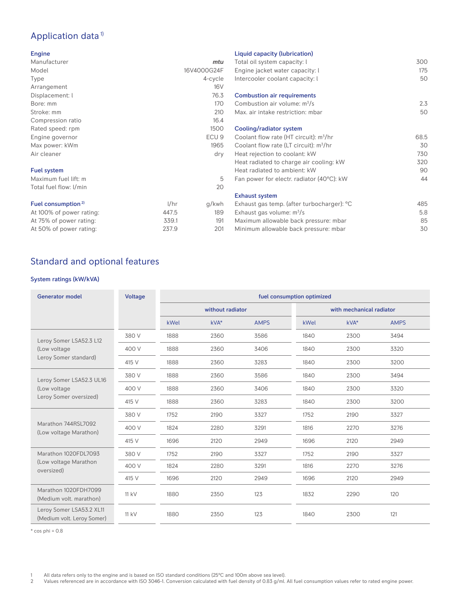# Application data<sup>1)</sup>

#### Engine

| Manufacturer                   |       | mtu              |
|--------------------------------|-------|------------------|
| Model                          |       | 16V4000G24F      |
| Type                           |       | 4-cycle          |
| Arrangement                    |       | <b>16V</b>       |
| Displacement: l                |       | 76.3             |
| Bore: mm                       |       | 170              |
| Stroke: mm                     |       | 210              |
| Compression ratio              |       | 16.4             |
| Rated speed: rpm               |       | 1500             |
| Engine governor                |       | ECU <sub>9</sub> |
| Max power: kWm                 |       | 1965             |
| Air cleaner                    |       | dry              |
| <b>Fuel system</b>             |       |                  |
| Maximum fuel lift: m           |       | 5                |
| Total fuel flow: I/min         |       | 20               |
| Fuel consumption <sup>2)</sup> | 1/hr  | g/kwh            |
| At 100% of power rating:       | 447.5 | 189              |
| At 75% of power rating:        | 339.1 | 191              |
| At 50% of power rating:        | 237.9 | 201              |

## Liquid capacity (lubrication)

| Total oil system capacity: I<br>Engine jacket water capacity: I<br>Intercooler coolant capacity: I | 300<br>175<br>50 |
|----------------------------------------------------------------------------------------------------|------------------|
| <b>Combustion air requirements</b>                                                                 |                  |
| Combustion air volume: $m^3/s$                                                                     | 2.3              |
| Max, air intake restriction: mbar                                                                  | 50               |
|                                                                                                    |                  |
| Cooling/radiator system                                                                            |                  |
| Coolant flow rate (HT circuit): m <sup>3</sup> /hr                                                 | 68.5             |
| Coolant flow rate (LT circuit): m <sup>3</sup> /hr                                                 | 30               |
| Heat rejection to coolant: kW                                                                      | 730              |
| Heat radiated to charge air cooling: kW                                                            | 320              |
| Heat radiated to ambient: kW                                                                       | 90               |
| Fan power for electr. radiator (40°C): kW                                                          | 44               |
|                                                                                                    |                  |
| <b>Exhaust system</b>                                                                              |                  |
| Exhaust gas temp. (after turbocharger): <sup>o</sup> C                                             | 485              |
| Exhaust gas volume: $m^3/s$                                                                        | 5.8              |
| Maximum allowable back pressure: mbar                                                              | 85               |
| Minimum allowable back pressure: mbar                                                              | 30               |

# Standard and optional features

## System ratings (kW/kVA)

| <b>Generator model</b>                                             | Voltage | fuel consumption optimized |        |             |                          |      |             |
|--------------------------------------------------------------------|---------|----------------------------|--------|-------------|--------------------------|------|-------------|
|                                                                    |         | without radiator           |        |             | with mechanical radiator |      |             |
|                                                                    |         | kWel                       | $kVA*$ | <b>AMPS</b> | kWel                     | kVA* | <b>AMPS</b> |
| Leroy Somer LSA52.3 L12<br>(Low voltage<br>Leroy Somer standard)   | 380 V   | 1888                       | 2360   | 3586        | 1840                     | 2300 | 3494        |
|                                                                    | 400 V   | 1888                       | 2360   | 3406        | 1840                     | 2300 | 3320        |
|                                                                    | 415 V   | 1888                       | 2360   | 3283        | 1840                     | 2300 | 3200        |
| Leroy Somer LSA52.3 UL16<br>(Low voltage<br>Leroy Somer oversized) | 380 V   | 1888                       | 2360   | 3586        | 1840                     | 2300 | 3494        |
|                                                                    | 400 V   | 1888                       | 2360   | 3406        | 1840                     | 2300 | 3320        |
|                                                                    | 415 V   | 1888                       | 2360   | 3283        | 1840                     | 2300 | 3200        |
| Marathon 744RSL7092<br>(Low voltage Marathon)                      | 380 V   | 1752                       | 2190   | 3327        | 1752                     | 2190 | 3327        |
|                                                                    | 400 V   | 1824                       | 2280   | 3291        | 1816                     | 2270 | 3276        |
|                                                                    | 415 V   | 1696                       | 2120   | 2949        | 1696                     | 2120 | 2949        |
| Marathon 1020FDL7093                                               | 380 V   | 1752                       | 2190   | 3327        | 1752                     | 2190 | 3327        |
| (Low voltage Marathon<br>oversized)                                | 400 V   | 1824                       | 2280   | 3291        | 1816                     | 2270 | 3276        |
|                                                                    | 415 V   | 1696                       | 2120   | 2949        | 1696                     | 2120 | 2949        |
| Marathon 1020FDH7099<br>(Medium volt. marathon)                    | 11 kV   | 1880                       | 2350   | 123         | 1832                     | 2290 | 120         |
| Leroy Somer LSA53.2 XL11<br>(Medium volt. Leroy Somer)             | 11 kV   | 1880                       | 2350   | 123         | 1840                     | 2300 | 121         |

 $*$  cos phi = 0.8

1 All data refers only to the engine and is based on ISO standard conditions (25°C and 100m above sea level).<br>2 Values referenced are in accordance with ISO 3046-1. Conversion calculated with fuel density of 0.83 g/ml.

Values referenced are in accordance with ISO 3046-1. Conversion calculated with fuel density of 0.83 g/ml. All fuel consumption values refer to rated engine power.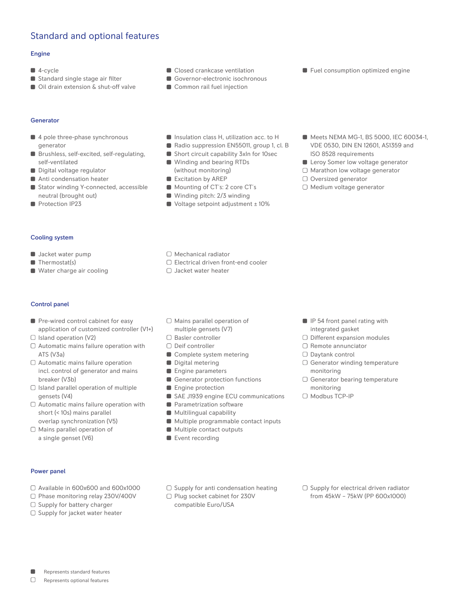# Standard and optional features

#### Engine

- 4-cycle
- Standard single stage air filter
- Oil drain extension & shut-off valve
- Closed crankcase ventilation
- Governor-electronic isochronous
- Common rail fuel injection
- **Fuel consumption optimized engine**

#### Generator

- 4 pole three-phase synchronous generator
- Brushless, self-excited, self-regulating, self-ventilated
- Digital voltage regulator
- Anti condensation heater
- Stator winding Y-connected, accessible neutral (brought out)
- Protection IP23
- **Insulation class H, utilization acc. to H**
- Radio suppression EN55011, group 1, cl. B
- Short circuit capability 3xIn for 10sec ■ Winding and bearing RTDs
- (without monitoring)

 Mechanical radiator

□ Jacket water heater

- Excitation by AREP
- Mounting of CT's: 2 core CT's
- Winding pitch: 2/3 winding
- Voltage setpoint adjustment ± 10%

□ Electrical driven front-end cooler

- Meets NEMA MG-1, BS 5000, IEC 60034-1, VDE 0530, DIN EN 12601, AS1359 and ISO 8528 requirements
- **Leroy Somer low voltage generator**
- $\Box$  Marathon low voltage generator
- O Oversized generator
- Medium voltage generator

- Cooling system
- **Jacket water pump**
- Thermostat(s)
- Water charge air cooling
- Control panel
- Pre-wired control cabinet for easy application of customized controller (V1+)
- $\Box$  Island operation (V2)
- $\Box$  Automatic mains failure operation with ATS (V3a)
- Automatic mains failure operation incl. control of generator and mains breaker (V3b)
- $\Box$  Island parallel operation of multiple gensets (V4)
- $\Box$  Automatic mains failure operation with short (< 10s) mains parallel overlap synchronization (V5)
- $\Box$  Mains parallel operation of a single genset (V6)
- Power panel
- Available in 600x600 and 600x1000
- □ Phase monitoring relay 230V/400V
- $\Box$  Supply for battery charger
- $\Box$  Supply for jacket water heater
- Mains parallel operation of multiple gensets (V7)
- 
- 
- 
- 
- 
- 
- 
- **Parametrization software**
- **Multilingual capability**
- **Multiple programmable contact inputs**
- **Multiple contact outputs**
- Event recording
- **IP 54 front panel rating with** integrated gasket
- $\Box$  Different expansion modules
- □ Remote annunciator
- □ Davtank control
- Generator winding temperature monitoring
- Generator bearing temperature monitoring
- □ Modbus TCP-IP

- $\Box$  Supply for anti condensation heating
- □ Plug socket cabinet for 230V compatible Euro/USA
- $\Box$  Supply for electrical driven radiator from 45kW – 75kW (PP 600x1000)
- 
- 
- 
- 
- 
- 
- - □ Basler controller
	- □ Deif controller
	- Complete system metering
	- Digital metering
	- **Engine parameters**
	- Generator protection functions
	- **Engine protection**
	- SAE J1939 engine ECU communications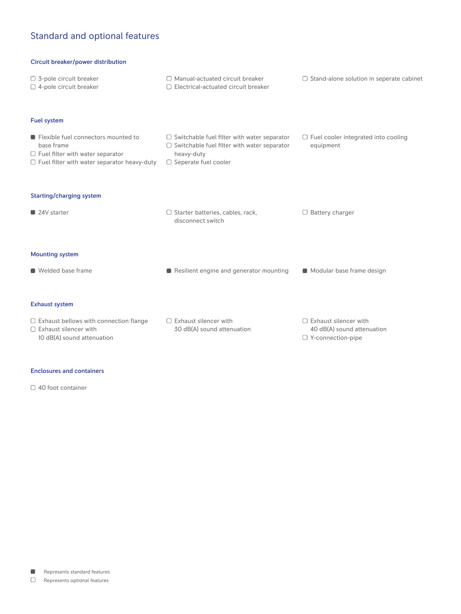# Standard and optional features

| Circuit breaker/power distribution                                                                                                                 |                                                                                                                                                       |                                                                                        |
|----------------------------------------------------------------------------------------------------------------------------------------------------|-------------------------------------------------------------------------------------------------------------------------------------------------------|----------------------------------------------------------------------------------------|
| $\Box$ 3-pole circuit breaker<br>$\Box$ 4-pole circuit breaker                                                                                     | $\Box$ Manual-actuated circuit breaker<br>$\Box$ Electrical-actuated circuit breaker                                                                  | $\Box$ Stand-alone solution in seperate cabinet                                        |
| <b>Fuel system</b>                                                                                                                                 |                                                                                                                                                       |                                                                                        |
| Elexible fuel connectors mounted to<br>base frame<br>$\Box$ Fuel filter with water separator<br>$\Box$ Fuel filter with water separator heavy-duty | $\Box$ Switchable fuel filter with water separator<br>$\Box$ Switchable fuel filter with water separator<br>heavy-duty<br>$\Box$ Seperate fuel cooler | $\Box$ Fuel cooler integrated into cooling<br>equipment                                |
| <b>Starting/charging system</b>                                                                                                                    |                                                                                                                                                       |                                                                                        |
| 24V starter                                                                                                                                        | $\Box$ Starter batteries, cables, rack,<br>disconnect switch                                                                                          | $\Box$ Battery charger                                                                 |
| <b>Mounting system</b>                                                                                                                             |                                                                                                                                                       |                                                                                        |
| ■ Welded base frame                                                                                                                                | Resilient engine and generator mounting                                                                                                               | Modular base frame design                                                              |
| <b>Exhaust system</b>                                                                                                                              |                                                                                                                                                       |                                                                                        |
| $\Box$ Exhaust bellows with connection flange<br>$\Box$ Exhaust silencer with<br>10 dB(A) sound attenuation                                        | $\Box$ Exhaust silencer with<br>30 dB(A) sound attenuation                                                                                            | $\Box$ Exhaust silencer with<br>40 dB(A) sound attenuation<br>$\Box$ Y-connection-pipe |

## Enclosures and containers

□ 40 foot container